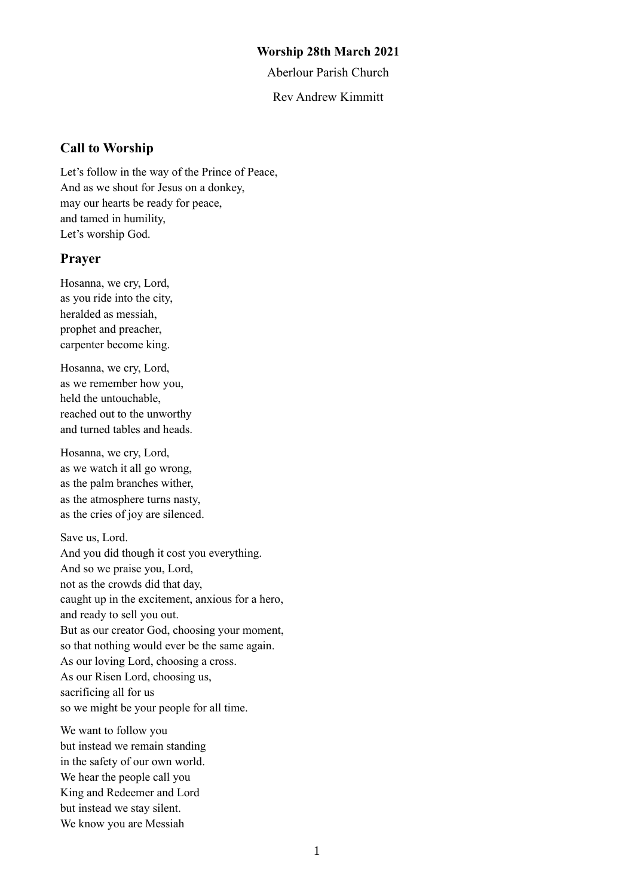#### **Worship 28th March 2021**

Aberlour Parish Church

Rev Andrew Kimmitt

### **Call to Worship**

Let's follow in the way of the Prince of Peace, And as we shout for Jesus on a donkey, may our hearts be ready for peace, and tamed in humility, Let's worship God.

#### **Prayer**

Hosanna, we cry, Lord, as you ride into the city, heralded as messiah, prophet and preacher, carpenter become king.

Hosanna, we cry, Lord, as we remember how you, held the untouchable, reached out to the unworthy and turned tables and heads.

Hosanna, we cry, Lord, as we watch it all go wrong, as the palm branches wither, as the atmosphere turns nasty, as the cries of joy are silenced.

Save us, Lord. And you did though it cost you everything. And so we praise you, Lord, not as the crowds did that day, caught up in the excitement, anxious for a hero, and ready to sell you out. But as our creator God, choosing your moment, so that nothing would ever be the same again. As our loving Lord, choosing a cross. As our Risen Lord, choosing us, sacrificing all for us so we might be your people for all time.

We want to follow you but instead we remain standing in the safety of our own world. We hear the people call you King and Redeemer and Lord but instead we stay silent. We know you are Messiah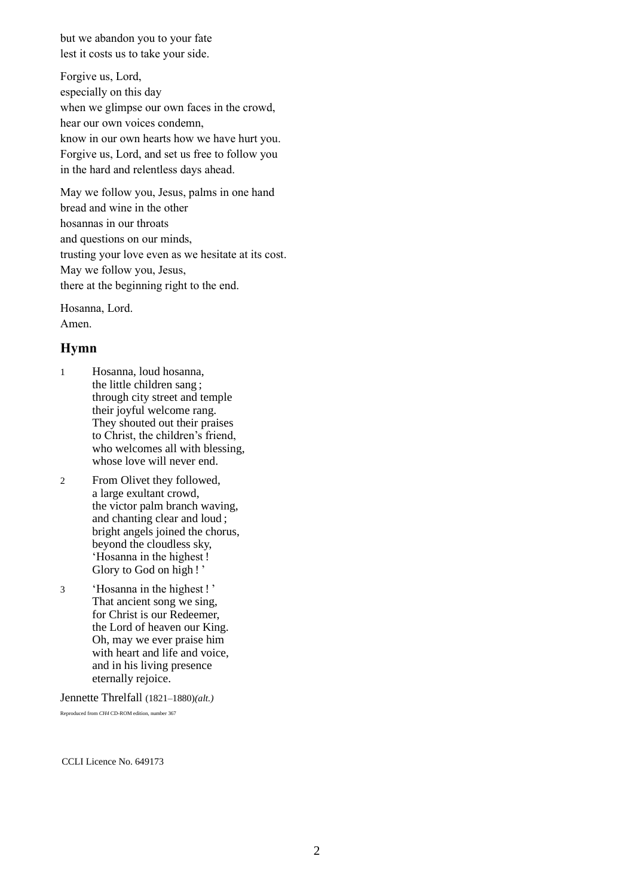but we abandon you to your fate lest it costs us to take your side.

Forgive us, Lord, especially on this day when we glimpse our own faces in the crowd, hear our own voices condemn, know in our own hearts how we have hurt you. Forgive us, Lord, and set us free to follow you in the hard and relentless days ahead.

May we follow you, Jesus, palms in one hand bread and wine in the other hosannas in our throats and questions on our minds, trusting your love even as we hesitate at its cost. May we follow you, Jesus, there at the beginning right to the end.

Hosanna, Lord. Amen.

#### **Hymn**

- 1 Hosanna, loud hosanna, the little children sang ; through city street and temple their joyful welcome rang. They shouted out their praises to Christ, the children's friend, who welcomes all with blessing, whose love will never end.
- 2 From Olivet they followed, a large exultant crowd, the victor palm branch waving, and chanting clear and loud ; bright angels joined the chorus, beyond the cloudless sky, 'Hosanna in the highest ! Glory to God on high ! '
- 3 'Hosanna in the highest ! ' That ancient song we sing, for Christ is our Redeemer, the Lord of heaven our King. Oh, may we ever praise him with heart and life and voice, and in his living presence eternally rejoice.

Jennette Threlfall (1821–1880)*(alt.)*

Reproduced from *CH4* CD-ROM edition, number 367

CCLI Licence No. 649173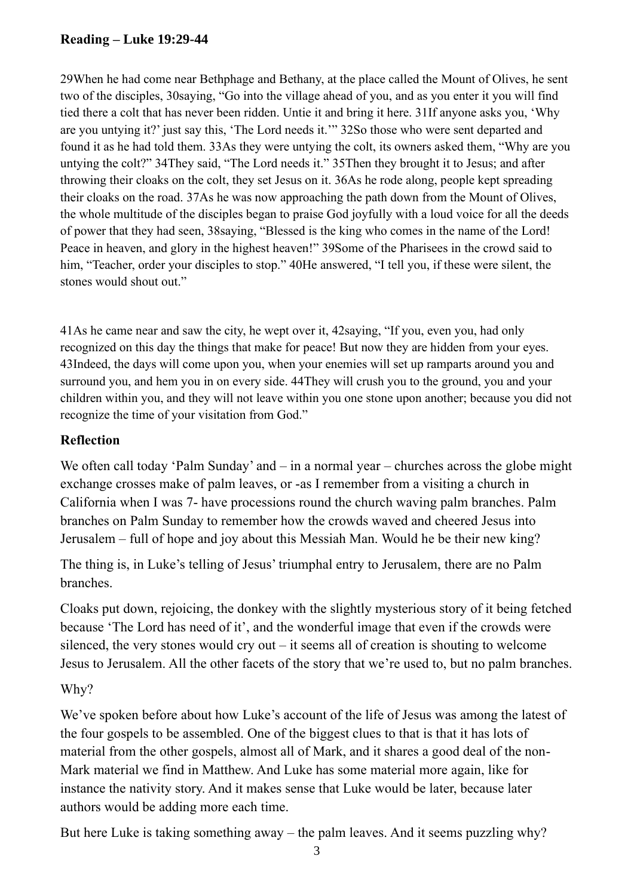# **Reading – Luke 19:29-44**

29When he had come near Bethphage and Bethany, at the place called the Mount of Olives, he sent two of the disciples, 30saying, "Go into the village ahead of you, and as you enter it you will find tied there a colt that has never been ridden. Untie it and bring it here. 31If anyone asks you, 'Why are you untying it?' just say this, 'The Lord needs it.'" 32So those who were sent departed and found it as he had told them. 33As they were untying the colt, its owners asked them, "Why are you untying the colt?" 34They said, "The Lord needs it." 35Then they brought it to Jesus; and after throwing their cloaks on the colt, they set Jesus on it. 36As he rode along, people kept spreading their cloaks on the road. 37As he was now approaching the path down from the Mount of Olives, the whole multitude of the disciples began to praise God joyfully with a loud voice for all the deeds of power that they had seen, 38saying, "Blessed is the king who comes in the name of the Lord! Peace in heaven, and glory in the highest heaven!" 39Some of the Pharisees in the crowd said to him, "Teacher, order your disciples to stop." 40He answered, "I tell you, if these were silent, the stones would shout out."

41As he came near and saw the city, he wept over it, 42saying, "If you, even you, had only recognized on this day the things that make for peace! But now they are hidden from your eyes. 43Indeed, the days will come upon you, when your enemies will set up ramparts around you and surround you, and hem you in on every side. 44They will crush you to the ground, you and your children within you, and they will not leave within you one stone upon another; because you did not recognize the time of your visitation from God."

# **Reflection**

We often call today 'Palm Sunday' and – in a normal year – churches across the globe might exchange crosses make of palm leaves, or -as I remember from a visiting a church in California when I was 7- have processions round the church waving palm branches. Palm branches on Palm Sunday to remember how the crowds waved and cheered Jesus into Jerusalem – full of hope and joy about this Messiah Man. Would he be their new king?

The thing is, in Luke's telling of Jesus' triumphal entry to Jerusalem, there are no Palm branches.

Cloaks put down, rejoicing, the donkey with the slightly mysterious story of it being fetched because 'The Lord has need of it', and the wonderful image that even if the crowds were silenced, the very stones would cry out – it seems all of creation is shouting to welcome Jesus to Jerusalem. All the other facets of the story that we're used to, but no palm branches.

# Why?

We've spoken before about how Luke's account of the life of Jesus was among the latest of the four gospels to be assembled. One of the biggest clues to that is that it has lots of material from the other gospels, almost all of Mark, and it shares a good deal of the non-Mark material we find in Matthew. And Luke has some material more again, like for instance the nativity story. And it makes sense that Luke would be later, because later authors would be adding more each time.

But here Luke is taking something away – the palm leaves. And it seems puzzling why?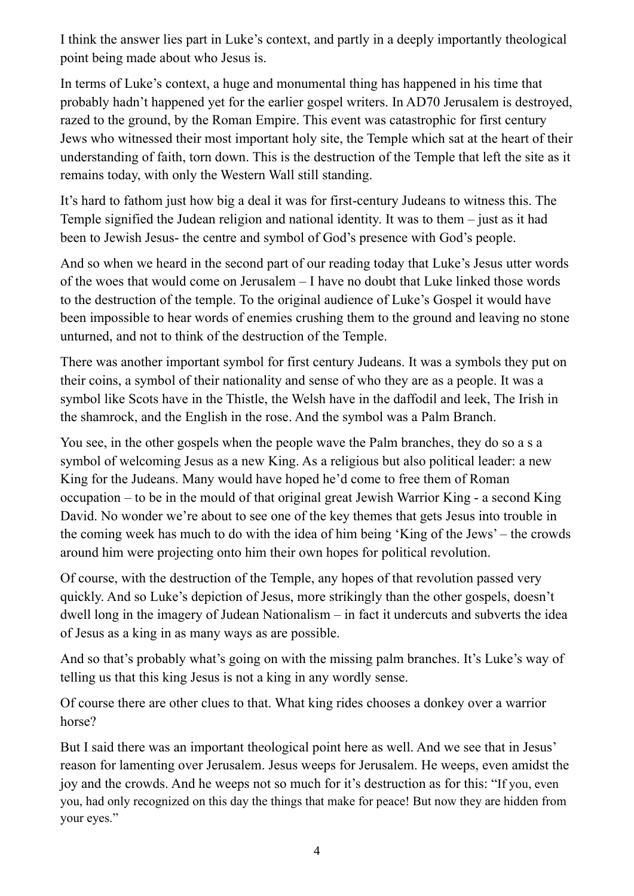I think the answer lies part in Luke's context, and partly in a deeply importantly theological point being made about who Jesus is.

In terms of Luke's context, a huge and monumental thing has happened in his time that probably hadn't happened yet for the earlier gospel writers. In AD70 Jerusalem is destroyed, razed to the ground, by the Roman Empire. This event was catastrophic for first century Jews who witnessed their most important holy site, the Temple which sat at the heart of their understanding of faith, torn down. This is the destruction of the Temple that left the site as it remains today, with only the Western Wall still standing.

It's hard to fathom just how big a deal it was for first-century Judeans to witness this. The Temple signified the Judean religion and national identity. It was to them – just as it had been to Jewish Jesus- the centre and symbol of God's presence with God's people.

And so when we heard in the second part of our reading today that Luke's Jesus utter words of the woes that would come on Jerusalem – I have no doubt that Luke linked those words to the destruction of the temple. To the original audience of Luke's Gospel it would have been impossible to hear words of enemies crushing them to the ground and leaving no stone unturned, and not to think of the destruction of the Temple.

There was another important symbol for first century Judeans. It was a symbols they put on their coins, a symbol of their nationality and sense of who they are as a people. It was a symbol like Scots have in the Thistle, the Welsh have in the daffodil and leek, The Irish in the shamrock, and the English in the rose. And the symbol was a Palm Branch.

You see, in the other gospels when the people wave the Palm branches, they do so a s a symbol of welcoming Jesus as a new King. As a religious but also political leader: a new King for the Judeans. Many would have hoped he'd come to free them of Roman occupation – to be in the mould of that original great Jewish Warrior King - a second King David. No wonder we're about to see one of the key themes that gets Jesus into trouble in the coming week has much to do with the idea of him being 'King of the Jews' – the crowds around him were projecting onto him their own hopes for political revolution.

Of course, with the destruction of the Temple, any hopes of that revolution passed very quickly. And so Luke's depiction of Jesus, more strikingly than the other gospels, doesn't dwell long in the imagery of Judean Nationalism – in fact it undercuts and subverts the idea of Jesus as a king in as many ways as are possible.

And so that's probably what's going on with the missing palm branches. It's Luke's way of telling us that this king Jesus is not a king in any wordly sense.

Of course there are other clues to that. What king rides chooses a donkey over a warrior horse?

But I said there was an important theological point here as well. And we see that in Jesus' reason for lamenting over Jerusalem. Jesus weeps for Jerusalem. He weeps, even amidst the joy and the crowds. And he weeps not so much for it's destruction as for this: "If you, even you, had only recognized on this day the things that make for peace! But now they are hidden from your eyes."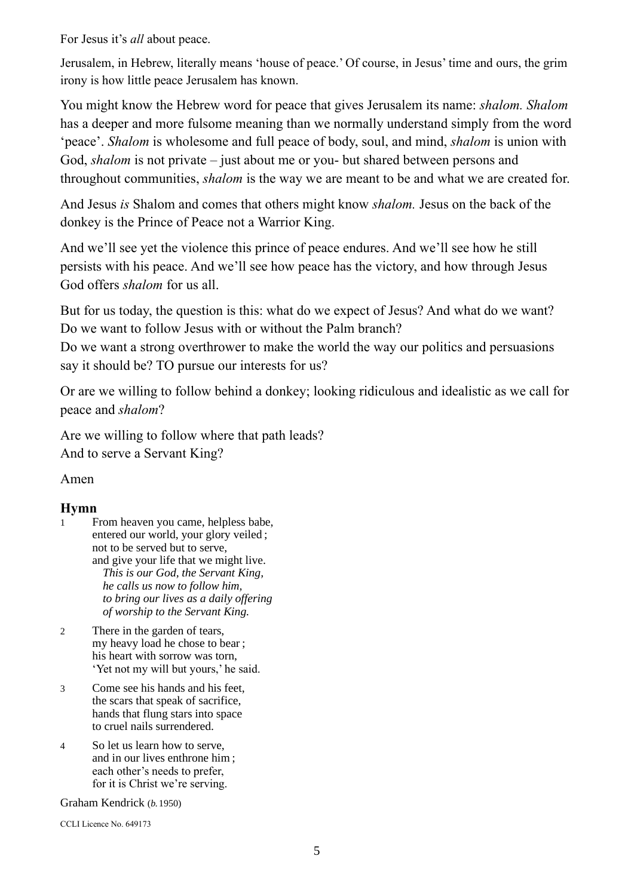For Jesus it's *all* about peace.

Jerusalem, in Hebrew, literally means 'house of peace.' Of course, in Jesus' time and ours, the grim irony is how little peace Jerusalem has known.

You might know the Hebrew word for peace that gives Jerusalem its name: *shalom. Shalom* has a deeper and more fulsome meaning than we normally understand simply from the word 'peace'. *Shalom* is wholesome and full peace of body, soul, and mind, *shalom* is union with God, *shalom* is not private – just about me or you- but shared between persons and throughout communities, *shalom* is the way we are meant to be and what we are created for.

And Jesus *is* Shalom and comes that others might know *shalom.* Jesus on the back of the donkey is the Prince of Peace not a Warrior King.

And we'll see yet the violence this prince of peace endures. And we'll see how he still persists with his peace. And we'll see how peace has the victory, and how through Jesus God offers *shalom* for us all.

But for us today, the question is this: what do we expect of Jesus? And what do we want? Do we want to follow Jesus with or without the Palm branch?

Do we want a strong overthrower to make the world the way our politics and persuasions say it should be? TO pursue our interests for us?

Or are we willing to follow behind a donkey; looking ridiculous and idealistic as we call for peace and *shalom*?

Are we willing to follow where that path leads? And to serve a Servant King?

Amen

## **Hymn**

- 1 From heaven you came, helpless babe, entered our world, your glory veiled ; not to be served but to serve, and give your life that we might live. *This is our God, the Servant King, he calls us now to follow him, to bring our lives as a daily offering of worship to the Servant King.*
- 2 There in the garden of tears, my heavy load he chose to bear ; his heart with sorrow was torn, 'Yet not my will but yours,' he said.
- 3 Come see his hands and his feet, the scars that speak of sacrifice, hands that flung stars into space to cruel nails surrendered.
- 4 So let us learn how to serve, and in our lives enthrone him ; each other's needs to prefer, for it is Christ we're serving.

Graham Kendrick (*b.*1950)

CCLI Licence No. 649173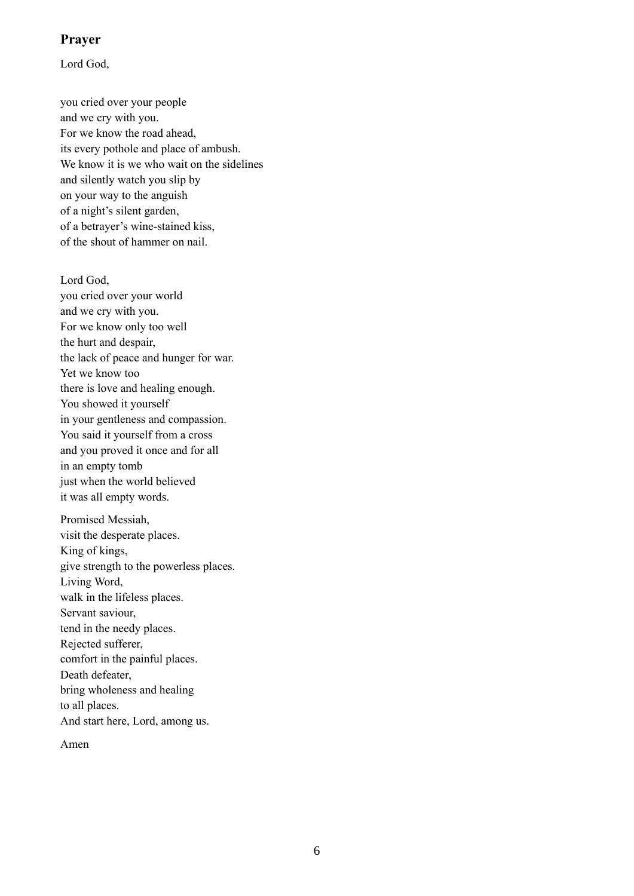### **Prayer**

Lord God,

you cried over your people and we cry with you. For we know the road ahead, its every pothole and place of ambush. We know it is we who wait on the sidelines and silently watch you slip by on your way to the anguish of a night's silent garden, of a betrayer's wine-stained kiss, of the shout of hammer on nail.

Lord God, you cried over your world and we cry with you. For we know only too well the hurt and despair, the lack of peace and hunger for war. Yet we know too there is love and healing enough. You showed it yourself in your gentleness and compassion. You said it yourself from a cross and you proved it once and for all in an empty tomb just when the world believed it was all empty words.

Promised Messiah, visit the desperate places. King of kings, give strength to the powerless places. Living Word, walk in the lifeless places. Servant saviour, tend in the needy places. Rejected sufferer, comfort in the painful places. Death defeater, bring wholeness and healing to all places. And start here, Lord, among us.

Amen